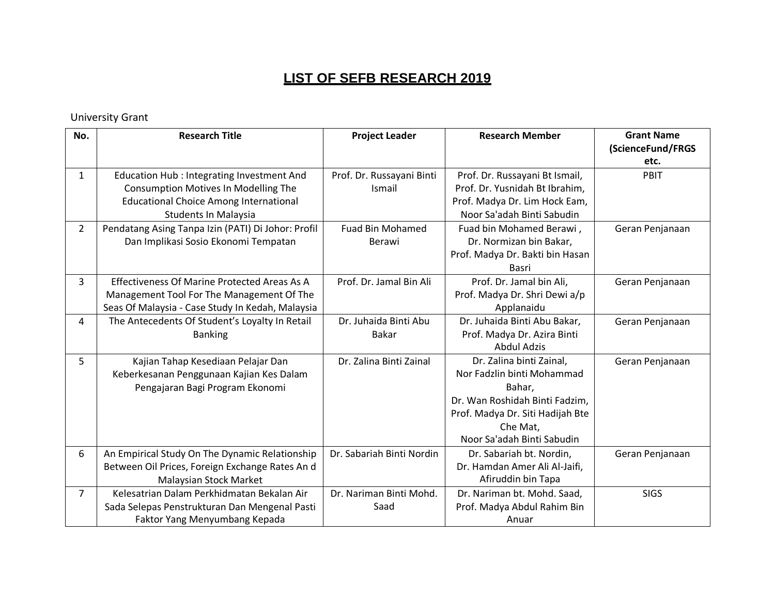#### University Grant

| No.            | <b>Research Title</b>                                                                                                                                             | <b>Project Leader</b>                 | <b>Research Member</b>                                                                                                                                                           | <b>Grant Name</b><br>(ScienceFund/FRGS<br>etc. |
|----------------|-------------------------------------------------------------------------------------------------------------------------------------------------------------------|---------------------------------------|----------------------------------------------------------------------------------------------------------------------------------------------------------------------------------|------------------------------------------------|
| $\mathbf{1}$   | <b>Education Hub: Integrating Investment And</b><br>Consumption Motives In Modelling The<br><b>Educational Choice Among International</b><br>Students In Malaysia | Prof. Dr. Russayani Binti<br>Ismail   | Prof. Dr. Russayani Bt Ismail,<br>Prof. Dr. Yusnidah Bt Ibrahim,<br>Prof. Madya Dr. Lim Hock Eam,<br>Noor Sa'adah Binti Sabudin                                                  | PBIT                                           |
| $\overline{2}$ | Pendatang Asing Tanpa Izin (PATI) Di Johor: Profil<br>Dan Implikasi Sosio Ekonomi Tempatan                                                                        | <b>Fuad Bin Mohamed</b><br>Berawi     | Fuad bin Mohamed Berawi,<br>Dr. Normizan bin Bakar,<br>Prof. Madya Dr. Bakti bin Hasan<br>Basri                                                                                  | Geran Penjanaan                                |
| 3              | Effectiveness Of Marine Protected Areas As A<br>Management Tool For The Management Of The<br>Seas Of Malaysia - Case Study In Kedah, Malaysia                     | Prof. Dr. Jamal Bin Ali               | Prof. Dr. Jamal bin Ali,<br>Prof. Madya Dr. Shri Dewi a/p<br>Applanaidu                                                                                                          | Geran Penjanaan                                |
| 4              | The Antecedents Of Student's Loyalty In Retail<br><b>Banking</b>                                                                                                  | Dr. Juhaida Binti Abu<br><b>Bakar</b> | Dr. Juhaida Binti Abu Bakar,<br>Prof. Madya Dr. Azira Binti<br><b>Abdul Adzis</b>                                                                                                | Geran Penjanaan                                |
| 5              | Kajian Tahap Kesediaan Pelajar Dan<br>Keberkesanan Penggunaan Kajian Kes Dalam<br>Pengajaran Bagi Program Ekonomi                                                 | Dr. Zalina Binti Zainal               | Dr. Zalina binti Zainal,<br>Nor Fadzlin binti Mohammad<br>Bahar,<br>Dr. Wan Roshidah Binti Fadzim,<br>Prof. Madya Dr. Siti Hadijah Bte<br>Che Mat,<br>Noor Sa'adah Binti Sabudin | Geran Penjanaan                                |
| 6              | An Empirical Study On The Dynamic Relationship<br>Between Oil Prices, Foreign Exchange Rates An d<br>Malaysian Stock Market                                       | Dr. Sabariah Binti Nordin             | Dr. Sabariah bt. Nordin,<br>Dr. Hamdan Amer Ali Al-Jaifi,<br>Afiruddin bin Tapa                                                                                                  | Geran Penjanaan                                |
| $\overline{7}$ | Kelesatrian Dalam Perkhidmatan Bekalan Air<br>Sada Selepas Penstrukturan Dan Mengenal Pasti<br>Faktor Yang Menyumbang Kepada                                      | Dr. Nariman Binti Mohd.<br>Saad       | Dr. Nariman bt. Mohd. Saad,<br>Prof. Madya Abdul Rahim Bin<br>Anuar                                                                                                              | <b>SIGS</b>                                    |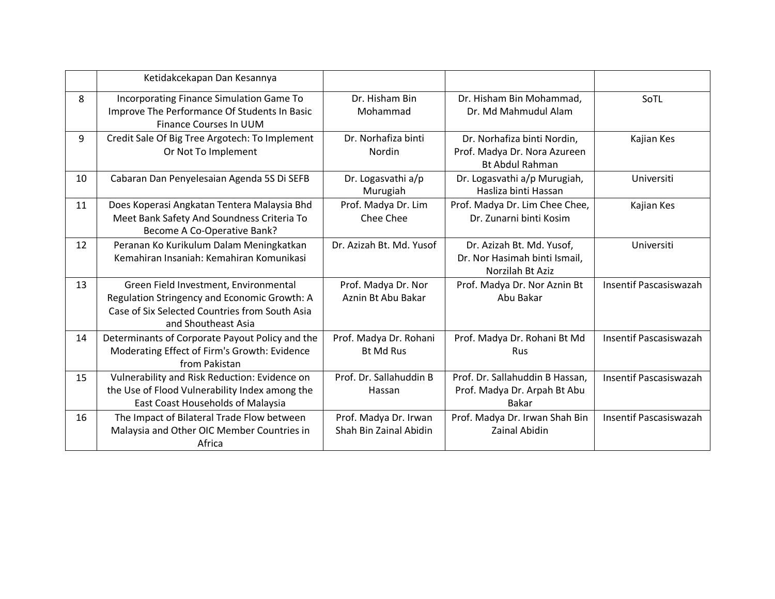|    | Ketidakcekapan Dan Kesannya                                                                                                                                    |                                                 |                                                                                       |                        |
|----|----------------------------------------------------------------------------------------------------------------------------------------------------------------|-------------------------------------------------|---------------------------------------------------------------------------------------|------------------------|
| 8  | Incorporating Finance Simulation Game To<br>Improve The Performance Of Students In Basic<br>Finance Courses In UUM                                             | Dr. Hisham Bin<br>Mohammad                      | Dr. Hisham Bin Mohammad,<br>Dr. Md Mahmudul Alam                                      | SoTL                   |
| 9  | Credit Sale Of Big Tree Argotech: To Implement<br>Or Not To Implement                                                                                          | Dr. Norhafiza binti<br><b>Nordin</b>            | Dr. Norhafiza binti Nordin,<br>Prof. Madya Dr. Nora Azureen<br><b>Bt Abdul Rahman</b> | Kajian Kes             |
| 10 | Cabaran Dan Penyelesaian Agenda 5S Di SEFB                                                                                                                     | Dr. Logasvathi a/p<br>Murugiah                  | Dr. Logasvathi a/p Murugiah,<br>Hasliza binti Hassan                                  | Universiti             |
| 11 | Does Koperasi Angkatan Tentera Malaysia Bhd<br>Meet Bank Safety And Soundness Criteria To<br>Become A Co-Operative Bank?                                       | Prof. Madya Dr. Lim<br>Chee Chee                | Prof. Madya Dr. Lim Chee Chee,<br>Dr. Zunarni binti Kosim                             | Kajian Kes             |
| 12 | Peranan Ko Kurikulum Dalam Meningkatkan<br>Kemahiran Insaniah: Kemahiran Komunikasi                                                                            | Dr. Azizah Bt. Md. Yusof                        | Dr. Azizah Bt. Md. Yusof,<br>Dr. Nor Hasimah binti Ismail,<br>Norzilah Bt Aziz        | Universiti             |
| 13 | Green Field Investment, Environmental<br>Regulation Stringency and Economic Growth: A<br>Case of Six Selected Countries from South Asia<br>and Shoutheast Asia | Prof. Madya Dr. Nor<br>Aznin Bt Abu Bakar       | Prof. Madya Dr. Nor Aznin Bt<br>Abu Bakar                                             | Insentif Pascasiswazah |
| 14 | Determinants of Corporate Payout Policy and the<br>Moderating Effect of Firm's Growth: Evidence<br>from Pakistan                                               | Prof. Madya Dr. Rohani<br><b>Bt Md Rus</b>      | Prof. Madya Dr. Rohani Bt Md<br><b>Rus</b>                                            | Insentif Pascasiswazah |
| 15 | Vulnerability and Risk Reduction: Evidence on<br>the Use of Flood Vulnerability Index among the<br>East Coast Households of Malaysia                           | Prof. Dr. Sallahuddin B<br>Hassan               | Prof. Dr. Sallahuddin B Hassan,<br>Prof. Madya Dr. Arpah Bt Abu<br><b>Bakar</b>       | Insentif Pascasiswazah |
| 16 | The Impact of Bilateral Trade Flow between<br>Malaysia and Other OIC Member Countries in<br>Africa                                                             | Prof. Madya Dr. Irwan<br>Shah Bin Zainal Abidin | Prof. Madya Dr. Irwan Shah Bin<br><b>Zainal Abidin</b>                                | Insentif Pascasiswazah |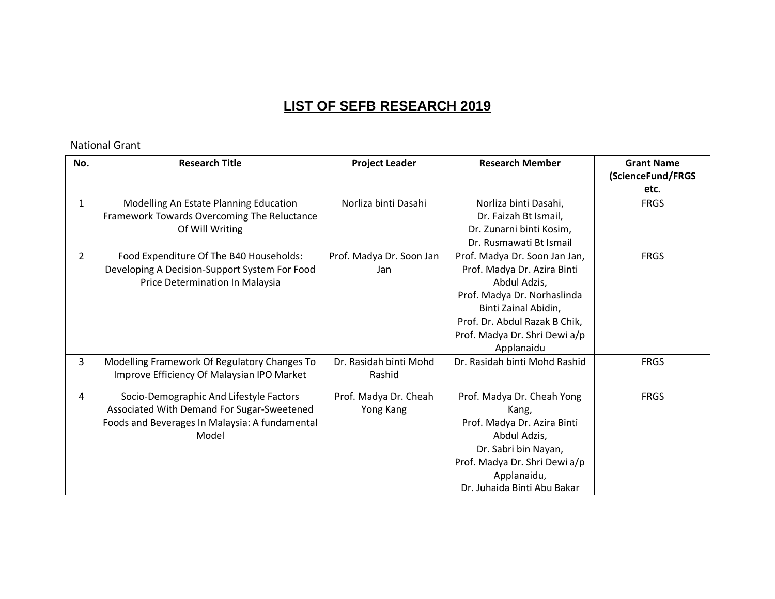#### National Grant

| No.            | <b>Research Title</b>                                                                                                                            | <b>Project Leader</b>              | <b>Research Member</b>                                                                                                                                                                                              | <b>Grant Name</b><br>(ScienceFund/FRGS<br>etc. |
|----------------|--------------------------------------------------------------------------------------------------------------------------------------------------|------------------------------------|---------------------------------------------------------------------------------------------------------------------------------------------------------------------------------------------------------------------|------------------------------------------------|
| $\mathbf{1}$   | Modelling An Estate Planning Education<br>Framework Towards Overcoming The Reluctance<br>Of Will Writing                                         | Norliza binti Dasahi               | Norliza binti Dasahi,<br>Dr. Faizah Bt Ismail,<br>Dr. Zunarni binti Kosim,<br>Dr. Rusmawati Bt Ismail                                                                                                               | <b>FRGS</b>                                    |
| $\overline{2}$ | Food Expenditure Of The B40 Households:<br>Developing A Decision-Support System For Food<br>Price Determination In Malaysia                      | Prof. Madya Dr. Soon Jan<br>Jan    | Prof. Madya Dr. Soon Jan Jan,<br>Prof. Madya Dr. Azira Binti<br>Abdul Adzis,<br>Prof. Madya Dr. Norhaslinda<br>Binti Zainal Abidin,<br>Prof. Dr. Abdul Razak B Chik,<br>Prof. Madya Dr. Shri Dewi a/p<br>Applanaidu | <b>FRGS</b>                                    |
| 3              | Modelling Framework Of Regulatory Changes To<br>Improve Efficiency Of Malaysian IPO Market                                                       | Dr. Rasidah binti Mohd<br>Rashid   | Dr. Rasidah binti Mohd Rashid                                                                                                                                                                                       | <b>FRGS</b>                                    |
| 4              | Socio-Demographic And Lifestyle Factors<br>Associated With Demand For Sugar-Sweetened<br>Foods and Beverages In Malaysia: A fundamental<br>Model | Prof. Madya Dr. Cheah<br>Yong Kang | Prof. Madya Dr. Cheah Yong<br>Kang,<br>Prof. Madya Dr. Azira Binti<br>Abdul Adzis,<br>Dr. Sabri bin Nayan,<br>Prof. Madya Dr. Shri Dewi a/p<br>Applanaidu,<br>Dr. Juhaida Binti Abu Bakar                           | <b>FRGS</b>                                    |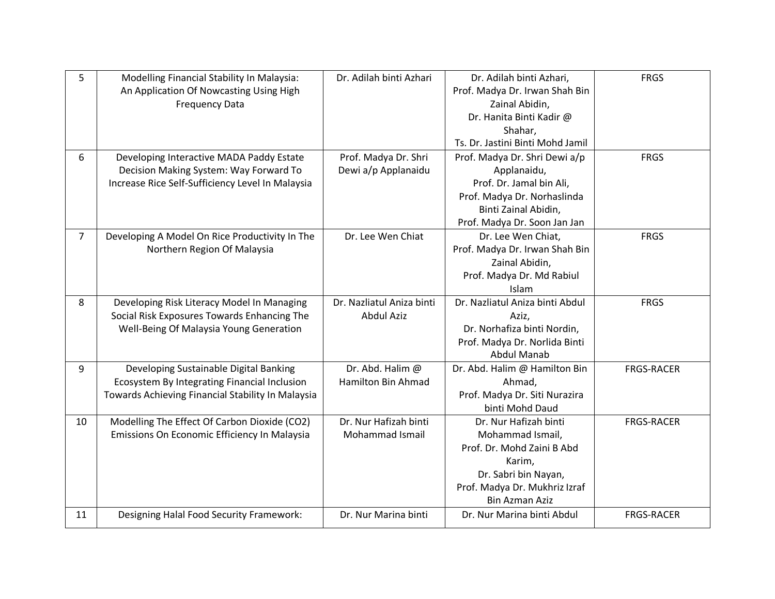| 5  | Modelling Financial Stability In Malaysia:        | Dr. Adilah binti Azhari   | Dr. Adilah binti Azhari,         | <b>FRGS</b>       |
|----|---------------------------------------------------|---------------------------|----------------------------------|-------------------|
|    | An Application Of Nowcasting Using High           |                           | Prof. Madya Dr. Irwan Shah Bin   |                   |
|    | <b>Frequency Data</b>                             |                           | Zainal Abidin,                   |                   |
|    |                                                   |                           | Dr. Hanita Binti Kadir @         |                   |
|    |                                                   |                           | Shahar,                          |                   |
|    |                                                   |                           | Ts. Dr. Jastini Binti Mohd Jamil |                   |
| 6  | Developing Interactive MADA Paddy Estate          | Prof. Madya Dr. Shri      | Prof. Madya Dr. Shri Dewi a/p    | <b>FRGS</b>       |
|    | Decision Making System: Way Forward To            | Dewi a/p Applanaidu       | Applanaidu,                      |                   |
|    | Increase Rice Self-Sufficiency Level In Malaysia  |                           | Prof. Dr. Jamal bin Ali,         |                   |
|    |                                                   |                           | Prof. Madya Dr. Norhaslinda      |                   |
|    |                                                   |                           | Binti Zainal Abidin,             |                   |
|    |                                                   |                           | Prof. Madya Dr. Soon Jan Jan     |                   |
| 7  | Developing A Model On Rice Productivity In The    | Dr. Lee Wen Chiat         | Dr. Lee Wen Chiat,               | <b>FRGS</b>       |
|    | Northern Region Of Malaysia                       |                           | Prof. Madya Dr. Irwan Shah Bin   |                   |
|    |                                                   |                           | Zainal Abidin,                   |                   |
|    |                                                   |                           | Prof. Madya Dr. Md Rabiul        |                   |
|    |                                                   |                           | Islam                            |                   |
| 8  | Developing Risk Literacy Model In Managing        | Dr. Nazliatul Aniza binti | Dr. Nazliatul Aniza binti Abdul  | <b>FRGS</b>       |
|    | Social Risk Exposures Towards Enhancing The       | Abdul Aziz                | Aziz,                            |                   |
|    | Well-Being Of Malaysia Young Generation           |                           | Dr. Norhafiza binti Nordin,      |                   |
|    |                                                   |                           | Prof. Madya Dr. Norlida Binti    |                   |
|    |                                                   |                           | <b>Abdul Manab</b>               |                   |
| 9  | Developing Sustainable Digital Banking            | Dr. Abd. Halim @          | Dr. Abd. Halim @ Hamilton Bin    | <b>FRGS-RACER</b> |
|    | Ecosystem By Integrating Financial Inclusion      | <b>Hamilton Bin Ahmad</b> | Ahmad,                           |                   |
|    | Towards Achieving Financial Stability In Malaysia |                           | Prof. Madya Dr. Siti Nurazira    |                   |
|    |                                                   |                           | binti Mohd Daud                  |                   |
| 10 | Modelling The Effect Of Carbon Dioxide (CO2)      | Dr. Nur Hafizah binti     | Dr. Nur Hafizah binti            | <b>FRGS-RACER</b> |
|    | Emissions On Economic Efficiency In Malaysia      | Mohammad Ismail           | Mohammad Ismail,                 |                   |
|    |                                                   |                           | Prof. Dr. Mohd Zaini B Abd       |                   |
|    |                                                   |                           | Karim,                           |                   |
|    |                                                   |                           | Dr. Sabri bin Nayan,             |                   |
|    |                                                   |                           | Prof. Madya Dr. Mukhriz Izraf    |                   |
|    |                                                   |                           | <b>Bin Azman Aziz</b>            |                   |
| 11 | Designing Halal Food Security Framework:          | Dr. Nur Marina binti      | Dr. Nur Marina binti Abdul       | <b>FRGS-RACER</b> |
|    |                                                   |                           |                                  |                   |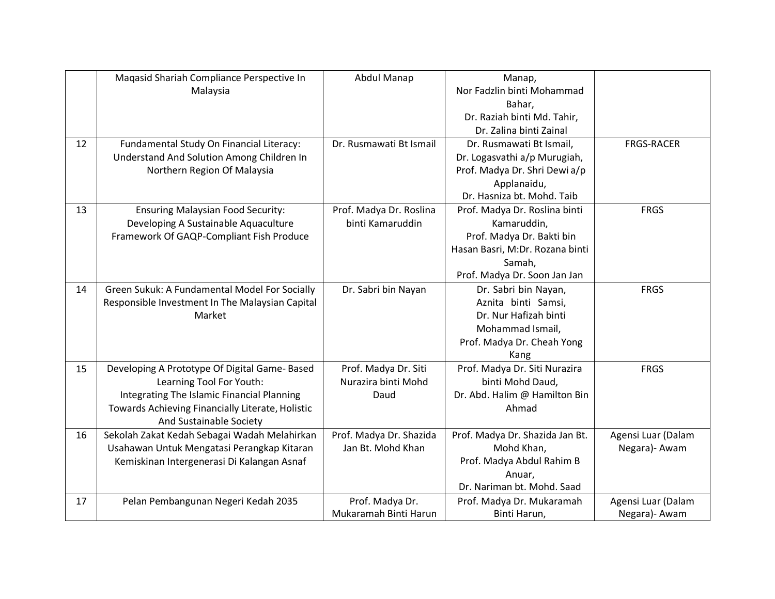|    | Maqasid Shariah Compliance Perspective In        | Abdul Manap             | Manap,                          |                    |
|----|--------------------------------------------------|-------------------------|---------------------------------|--------------------|
|    | Malaysia                                         |                         | Nor Fadzlin binti Mohammad      |                    |
|    |                                                  |                         | Bahar,                          |                    |
|    |                                                  |                         | Dr. Raziah binti Md. Tahir,     |                    |
|    |                                                  |                         | Dr. Zalina binti Zainal         |                    |
| 12 | Fundamental Study On Financial Literacy:         | Dr. Rusmawati Bt Ismail | Dr. Rusmawati Bt Ismail,        | <b>FRGS-RACER</b>  |
|    | Understand And Solution Among Children In        |                         | Dr. Logasvathi a/p Murugiah,    |                    |
|    | Northern Region Of Malaysia                      |                         | Prof. Madya Dr. Shri Dewi a/p   |                    |
|    |                                                  |                         | Applanaidu,                     |                    |
|    |                                                  |                         | Dr. Hasniza bt. Mohd. Taib      |                    |
| 13 | <b>Ensuring Malaysian Food Security:</b>         | Prof. Madya Dr. Roslina | Prof. Madya Dr. Roslina binti   | <b>FRGS</b>        |
|    | Developing A Sustainable Aquaculture             | binti Kamaruddin        | Kamaruddin,                     |                    |
|    | Framework Of GAQP-Compliant Fish Produce         |                         | Prof. Madya Dr. Bakti bin       |                    |
|    |                                                  |                         | Hasan Basri, M:Dr. Rozana binti |                    |
|    |                                                  |                         | Samah,                          |                    |
|    |                                                  |                         | Prof. Madya Dr. Soon Jan Jan    |                    |
| 14 | Green Sukuk: A Fundamental Model For Socially    | Dr. Sabri bin Nayan     | Dr. Sabri bin Nayan,            | <b>FRGS</b>        |
|    | Responsible Investment In The Malaysian Capital  |                         | Aznita binti Samsi,             |                    |
|    | Market                                           |                         | Dr. Nur Hafizah binti           |                    |
|    |                                                  |                         | Mohammad Ismail,                |                    |
|    |                                                  |                         | Prof. Madya Dr. Cheah Yong      |                    |
|    |                                                  |                         | Kang                            |                    |
| 15 | Developing A Prototype Of Digital Game-Based     | Prof. Madya Dr. Siti    | Prof. Madya Dr. Siti Nurazira   | <b>FRGS</b>        |
|    | Learning Tool For Youth:                         | Nurazira binti Mohd     | binti Mohd Daud,                |                    |
|    | Integrating The Islamic Financial Planning       | Daud                    | Dr. Abd. Halim @ Hamilton Bin   |                    |
|    | Towards Achieving Financially Literate, Holistic |                         | Ahmad                           |                    |
|    | And Sustainable Society                          |                         |                                 |                    |
| 16 | Sekolah Zakat Kedah Sebagai Wadah Melahirkan     | Prof. Madya Dr. Shazida | Prof. Madya Dr. Shazida Jan Bt. | Agensi Luar (Dalam |
|    | Usahawan Untuk Mengatasi Perangkap Kitaran       | Jan Bt. Mohd Khan       | Mohd Khan,                      | Negara)- Awam      |
|    | Kemiskinan Intergenerasi Di Kalangan Asnaf       |                         | Prof. Madya Abdul Rahim B       |                    |
|    |                                                  |                         | Anuar,                          |                    |
|    |                                                  |                         | Dr. Nariman bt. Mohd. Saad      |                    |
| 17 | Pelan Pembangunan Negeri Kedah 2035              | Prof. Madya Dr.         | Prof. Madya Dr. Mukaramah       | Agensi Luar (Dalam |
|    |                                                  | Mukaramah Binti Harun   | Binti Harun,                    | Negara)- Awam      |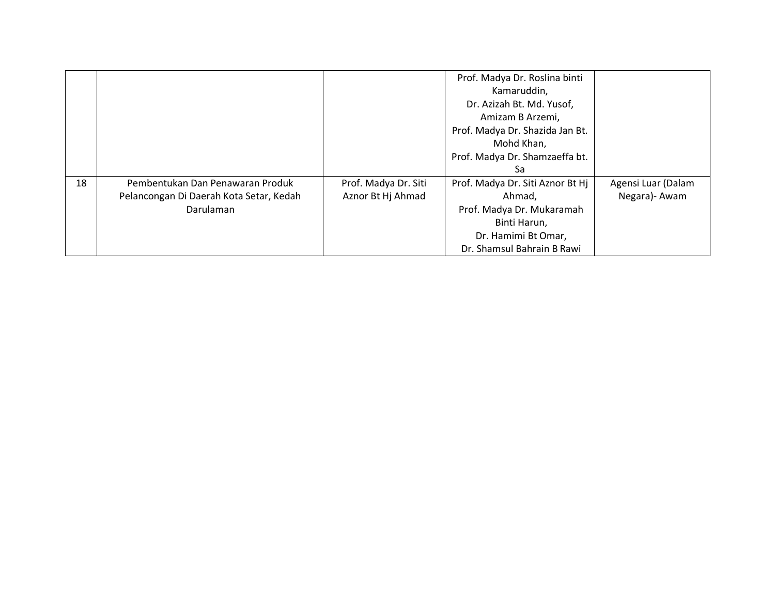|    |                                         |                      | Prof. Madya Dr. Roslina binti    |                    |
|----|-----------------------------------------|----------------------|----------------------------------|--------------------|
|    |                                         |                      | Kamaruddin,                      |                    |
|    |                                         |                      | Dr. Azizah Bt. Md. Yusof,        |                    |
|    |                                         |                      | Amizam B Arzemi,                 |                    |
|    |                                         |                      | Prof. Madya Dr. Shazida Jan Bt.  |                    |
|    |                                         |                      | Mohd Khan,                       |                    |
|    |                                         |                      | Prof. Madya Dr. Shamzaeffa bt.   |                    |
|    |                                         |                      | Sa                               |                    |
| 18 | Pembentukan Dan Penawaran Produk        | Prof. Madya Dr. Siti | Prof. Madya Dr. Siti Aznor Bt Hj | Agensi Luar (Dalam |
|    | Pelancongan Di Daerah Kota Setar, Kedah | Aznor Bt Hj Ahmad    | Ahmad,                           | Negara) - Awam     |
|    | Darulaman                               |                      | Prof. Madya Dr. Mukaramah        |                    |
|    |                                         |                      | Binti Harun,                     |                    |
|    |                                         |                      | Dr. Hamimi Bt Omar,              |                    |
|    |                                         |                      | Dr. Shamsul Bahrain B Rawi       |                    |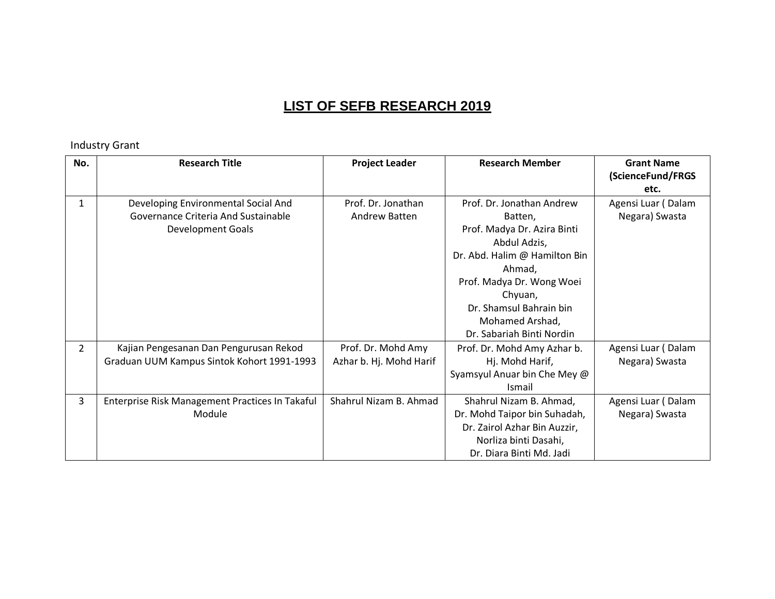#### Industry Grant

| No.            | <b>Research Title</b>                                                                                  | <b>Project Leader</b>                         | <b>Research Member</b>                                                                                                                                                                                                                            | <b>Grant Name</b><br>(ScienceFund/FRGS<br>etc. |
|----------------|--------------------------------------------------------------------------------------------------------|-----------------------------------------------|---------------------------------------------------------------------------------------------------------------------------------------------------------------------------------------------------------------------------------------------------|------------------------------------------------|
| $\mathbf{1}$   | Developing Environmental Social And<br>Governance Criteria And Sustainable<br><b>Development Goals</b> | Prof. Dr. Jonathan<br>Andrew Batten           | Prof. Dr. Jonathan Andrew<br>Batten,<br>Prof. Madya Dr. Azira Binti<br>Abdul Adzis,<br>Dr. Abd. Halim @ Hamilton Bin<br>Ahmad,<br>Prof. Madya Dr. Wong Woei<br>Chyuan,<br>Dr. Shamsul Bahrain bin<br>Mohamed Arshad,<br>Dr. Sabariah Binti Nordin | Agensi Luar (Dalam<br>Negara) Swasta           |
| $\overline{2}$ | Kajian Pengesanan Dan Pengurusan Rekod<br>Graduan UUM Kampus Sintok Kohort 1991-1993                   | Prof. Dr. Mohd Amy<br>Azhar b. Hj. Mohd Harif | Prof. Dr. Mohd Amy Azhar b.<br>Hj. Mohd Harif,<br>Syamsyul Anuar bin Che Mey @<br><b>Ismail</b>                                                                                                                                                   | Agensi Luar (Dalam<br>Negara) Swasta           |
| $\overline{3}$ | Enterprise Risk Management Practices In Takaful<br>Module                                              | Shahrul Nizam B. Ahmad                        | Shahrul Nizam B. Ahmad,<br>Dr. Mohd Taipor bin Suhadah,<br>Dr. Zairol Azhar Bin Auzzir,<br>Norliza binti Dasahi,<br>Dr. Diara Binti Md. Jadi                                                                                                      | Agensi Luar (Dalam<br>Negara) Swasta           |